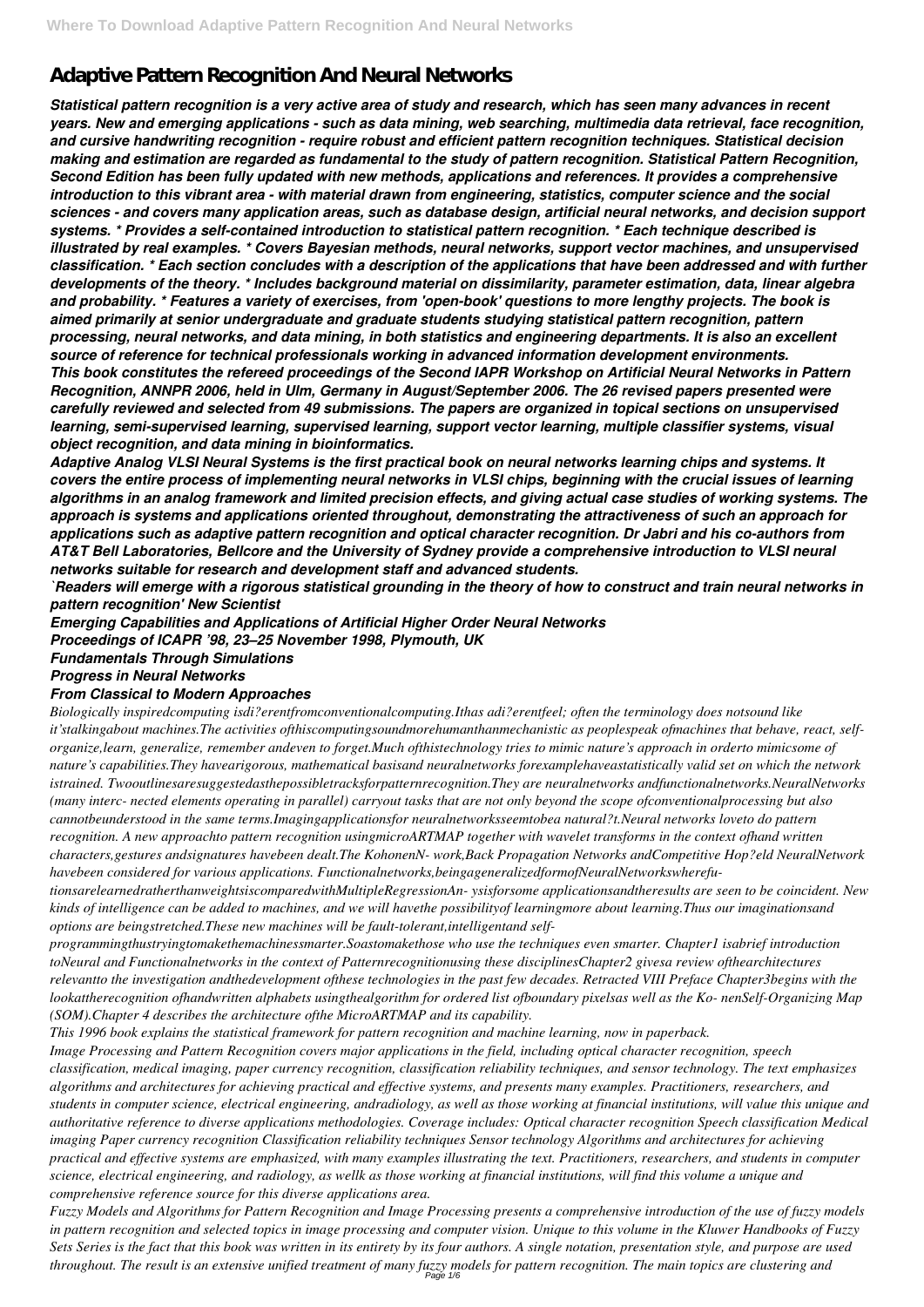# **Adaptive Pattern Recognition And Neural Networks**

*Statistical pattern recognition is a very active area of study and research, which has seen many advances in recent years. New and emerging applications - such as data mining, web searching, multimedia data retrieval, face recognition, and cursive handwriting recognition - require robust and efficient pattern recognition techniques. Statistical decision making and estimation are regarded as fundamental to the study of pattern recognition. Statistical Pattern Recognition, Second Edition has been fully updated with new methods, applications and references. It provides a comprehensive introduction to this vibrant area - with material drawn from engineering, statistics, computer science and the social sciences - and covers many application areas, such as database design, artificial neural networks, and decision support systems. \* Provides a self-contained introduction to statistical pattern recognition. \* Each technique described is illustrated by real examples. \* Covers Bayesian methods, neural networks, support vector machines, and unsupervised classification. \* Each section concludes with a description of the applications that have been addressed and with further developments of the theory. \* Includes background material on dissimilarity, parameter estimation, data, linear algebra and probability. \* Features a variety of exercises, from 'open-book' questions to more lengthy projects. The book is aimed primarily at senior undergraduate and graduate students studying statistical pattern recognition, pattern processing, neural networks, and data mining, in both statistics and engineering departments. It is also an excellent source of reference for technical professionals working in advanced information development environments. This book constitutes the refereed proceedings of the Second IAPR Workshop on Artificial Neural Networks in Pattern Recognition, ANNPR 2006, held in Ulm, Germany in August/September 2006. The 26 revised papers presented were carefully reviewed and selected from 49 submissions. The papers are organized in topical sections on unsupervised learning, semi-supervised learning, supervised learning, support vector learning, multiple classifier systems, visual object recognition, and data mining in bioinformatics.*

*Adaptive Analog VLSI Neural Systems is the first practical book on neural networks learning chips and systems. It covers the entire process of implementing neural networks in VLSI chips, beginning with the crucial issues of learning algorithms in an analog framework and limited precision effects, and giving actual case studies of working systems. The approach is systems and applications oriented throughout, demonstrating the attractiveness of such an approach for applications such as adaptive pattern recognition and optical character recognition. Dr Jabri and his co-authors from AT&T Bell Laboratories, Bellcore and the University of Sydney provide a comprehensive introduction to VLSI neural networks suitable for research and development staff and advanced students.*

*`Readers will emerge with a rigorous statistical grounding in the theory of how to construct and train neural networks in pattern recognition' New Scientist*

*Emerging Capabilities and Applications of Artificial Higher Order Neural Networks Proceedings of ICAPR '98, 23–25 November 1998, Plymouth, UK*

*Fundamentals Through Simulations*

## *Progress in Neural Networks*

#### *From Classical to Modern Approaches*

*Fuzzy Models and Algorithms for Pattern Recognition and Image Processing presents a comprehensive introduction of the use of fuzzy models in pattern recognition and selected topics in image processing and computer vision. Unique to this volume in the Kluwer Handbooks of Fuzzy Sets Series is the fact that this book was written in its entirety by its four authors. A single notation, presentation style, and purpose are used throughout. The result is an extensive unified treatment of many fuzzy models for pattern recognition. The main topics are clustering and* Page 1/6

*Biologically inspiredcomputing isdi?erentfromconventionalcomputing.Ithas adi?erentfeel; often the terminology does notsound like it'stalkingabout machines.The activities ofthiscomputingsoundmorehumanthanmechanistic as peoplespeak ofmachines that behave, react, selforganize,learn, generalize, remember andeven to forget.Much ofthistechnology tries to mimic nature's approach in orderto mimicsome of nature's capabilities.They havearigorous, mathematical basisand neuralnetworks forexamplehaveastatistically valid set on which the network istrained. Twooutlinesaresuggestedasthepossibletracksforpatternrecognition.They are neuralnetworks andfunctionalnetworks.NeuralNetworks (many interc- nected elements operating in parallel) carryout tasks that are not only beyond the scope ofconventionalprocessing but also cannotbeunderstood in the same terms.Imagingapplicationsfor neuralnetworksseemtobea natural?t.Neural networks loveto do pattern recognition. A new approachto pattern recognition usingmicroARTMAP together with wavelet transforms in the context ofhand written characters,gestures andsignatures havebeen dealt.The KohonenN- work,Back Propagation Networks andCompetitive Hop?eld NeuralNetwork havebeen considered for various applications. Functionalnetworks,beingageneralizedformofNeuralNetworkswherefu-*

*tionsarelearnedratherthanweightsiscomparedwithMultipleRegressionAn- ysisforsome applicationsandtheresults are seen to be coincident. New kinds of intelligence can be added to machines, and we will havethe possibilityof learningmore about learning.Thus our imaginationsand options are beingstretched.These new machines will be fault-tolerant,intelligentand self-*

*programmingthustryingtomakethemachinessmarter.Soastomakethose who use the techniques even smarter. Chapter1 isabrief introduction toNeural and Functionalnetworks in the context of Patternrecognitionusing these disciplinesChapter2 givesa review ofthearchitectures relevantto the investigation andthedevelopment ofthese technologies in the past few decades. Retracted VIII Preface Chapter3begins with the*

*lookattherecognition ofhandwritten alphabets usingthealgorithm for ordered list ofboundary pixelsas well as the Ko- nenSelf-Organizing Map (SOM).Chapter 4 describes the architecture ofthe MicroARTMAP and its capability.*

*This 1996 book explains the statistical framework for pattern recognition and machine learning, now in paperback. Image Processing and Pattern Recognition covers major applications in the field, including optical character recognition, speech classification, medical imaging, paper currency recognition, classification reliability techniques, and sensor technology. The text emphasizes algorithms and architectures for achieving practical and effective systems, and presents many examples. Practitioners, researchers, and students in computer science, electrical engineering, andradiology, as well as those working at financial institutions, will value this unique and authoritative reference to diverse applications methodologies. Coverage includes: Optical character recognition Speech classification Medical imaging Paper currency recognition Classification reliability techniques Sensor technology Algorithms and architectures for achieving practical and effective systems are emphasized, with many examples illustrating the text. Practitioners, researchers, and students in computer science, electrical engineering, and radiology, as wellk as those working at financial institutions, will find this volume a unique and comprehensive reference source for this diverse applications area.*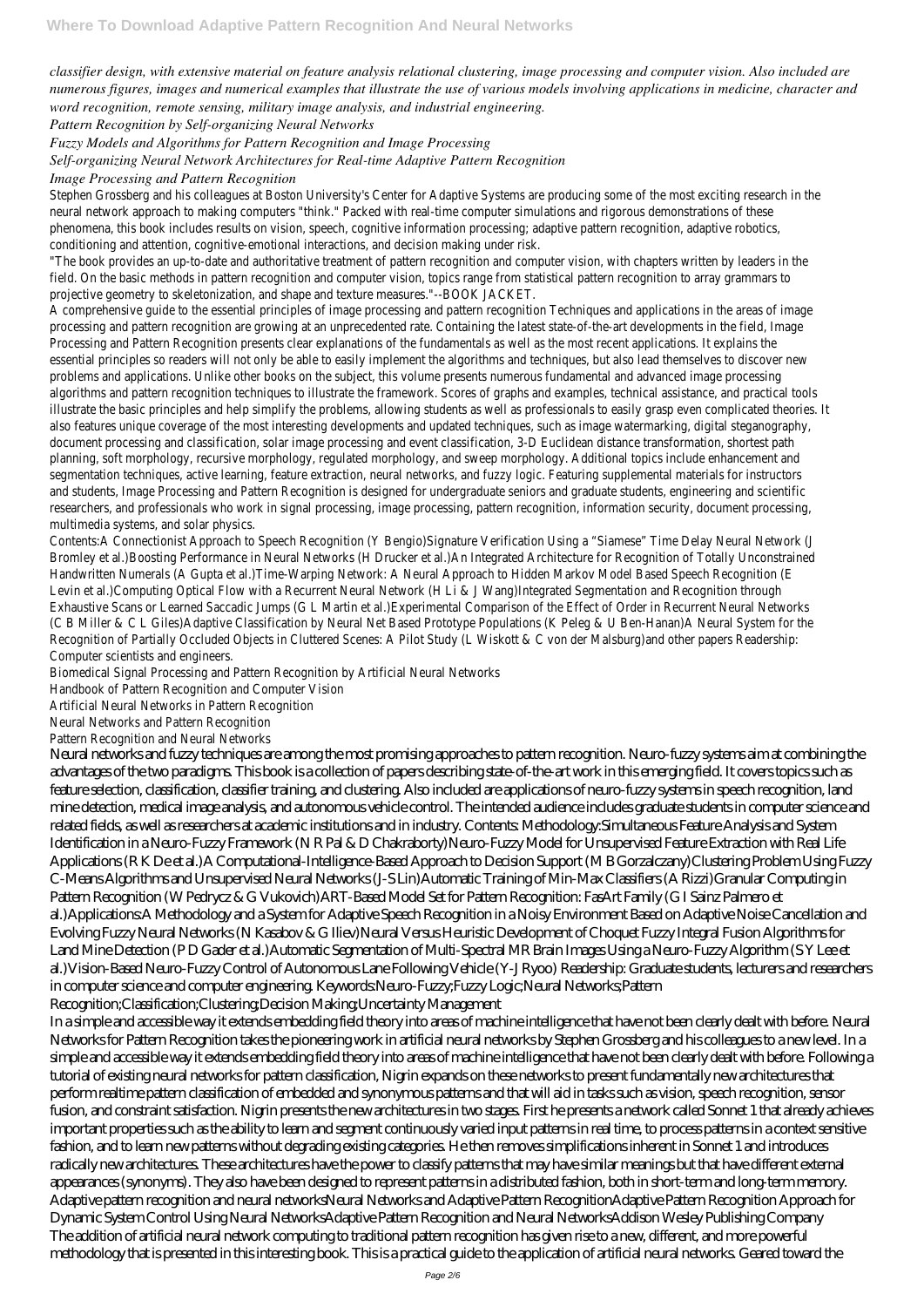*classifier design, with extensive material on feature analysis relational clustering, image processing and computer vision. Also included are numerous figures, images and numerical examples that illustrate the use of various models involving applications in medicine, character and word recognition, remote sensing, military image analysis, and industrial engineering.*

*Pattern Recognition by Self-organizing Neural Networks*

*Fuzzy Models and Algorithms for Pattern Recognition and Image Processing*

Stephen Grossberg and his colleagues at Boston University's Center for Adaptive Systems are producing some of th neural network approach to making computers "think." Packed with real-time computer simulations and rigorous de phenomena, this book includes results on vision, speech, cognitive information processing; adaptive pattern recogn conditioning and attention, cognitive-emotional interactions, and decision making under risk.

*Self-organizing Neural Network Architectures for Real-time Adaptive Pattern Recognition*

*Image Processing and Pattern Recognition*

"The book provides an up-to-date and authoritative treatment of pattern recognition and computer vision, with cha field. On the basic methods in pattern recognition and computer vision, topics range from statistical pattern recogi projective geometry to skeletonization, and shape and texture measures."--BOOK JACKET.

A comprehensive guide to the essential principles of image processing and pattern recognition Techniques and app processing and pattern recognition are growing at an unprecedented rate. Containing the latest state-of-the-art de Processing and Pattern Recognition presents clear explanations of the fundamentals as well as the most recent ap essential principles so readers will not only be able to easily implement the algorithms and techniques, but also lea problems and applications. Unlike other books on the subject, this volume presents numerous fundamental and adv algorithms and pattern recognition techniques to illustrate the framework. Scores of graphs and examples, technic illustrate the basic principles and help simplify the problems, allowing students as well as professionals to easily gi also features unique coverage of the most interesting developments and updated techniques, such as image water document processing and classification, solar image processing and event classification, 3-D Euclidean distance tra planning, soft morphology, recursive morphology, regulated morphology, and sweep morphology. Additional topics in segmentation techniques, active learning, feature extraction, neural networks, and fuzzy logic. Featuring supplemen and students, Image Processing and Pattern Recognition is designed for undergraduate seniors and graduate stude researchers, and professionals who work in signal processing, image processing, pattern recognition, information s multimedia systems, and solar physics.

Contents:A Connectionist Approach to Speech Recognition (Y Bengio)Signature Verification Using a "Siamese" Time Bromley et al.)Boosting Performance in Neural Networks (H Drucker et al.)An Integrated Architecture for Recognitic Handwritten Numerals (A Gupta et al.)Time-Warping Network: A Neural Approach to Hidden Markov Model Based Sp Levin et al.)Computing Optical Flow with a Recurrent Neural Network (H Li & J Wang)Integrated Segmentation and F Exhaustive Scans or Learned Saccadic Jumps (G L Martin et al.)Experimental Comparison of the Effect of Order in R (C B Miller & C L Giles)Adaptive Classification by Neural Net Based Prototype Populations (K Peleg & U Ben-Hanan)A Recognition of Partially Occluded Objects in Cluttered Scenes: A Pilot Study (L Wiskott & C von der Malsburg)and o Computer scientists and engineers.

Biomedical Signal Processing and Pattern Recognition by Artificial Neural Networks

Handbook of Pattern Recognition and Computer Vision

Artificial Neural Networks in Pattern Recognition

Neural Networks and Pattern Recognition

Pattern Recognition and Neural Networks

Neural networks and fuzzy techniques are among the most promising approaches to pattern recognition. Neuro-fuzzy systems aim at combining the advantages of the two paradigms. This book is a collection of papers describing state-of-the-art work in this emerging field. It covers topics such as feature selection, classification, classifier training, and clustering. Also included are applications of neuro-fuzzy systems in speech recognition, land mine detection, medical image analysis, and autonomous vehicle control. The intended audience includes graduate students in computer science and related fields, as well as researchers at academic institutions and in industry. Contents: Methodology:Simultaneous Feature Analysis and System Identification in a Neuro-Fuzzy Framework (N R Pal & D Chakraborty)Neuro-Fuzzy Model for Unsupervised Feature Extraction with Real Life Applications (R K De et al.)A Computational-Intelligence-Based Approach to Decision Support (M B Gorzalczany)Clustering Problem Using Fuzzy C-Means Algorithms and Unsupervised Neural Networks (J-S Lin)Automatic Training of Min-Max Classifiers (A Rizzi)Granular Computing in Pattern Recognition (W Pedrycz & G Vukovich)ART-Based Model Set for Pattern Recognition: FasArt Family (G I Sainz Palmero et al.) Applications: A Methodology and a System for Adaptive Speech Recognition in a Noisy Environment Based on Adaptive Noise Cancellation and Evolving Fuzzy Neural Networks (N Kasabov & G Iliev)Neural Versus Heuristic Development of Choquet Fuzzy Integral Fusion Algorithms for Land Mine Detection (P D Gader et al.)Automatic Segmentation of Multi-Spectral MR Brain Images Using a Neuro-Fuzzy Algorithm (S Y Lee et al.)Vision-Based Neuro-Fuzzy Control of Autonomous Lane Following Vehicle (Y-J Ryoo) Readership: Graduate students, lecturers and researchers in computer science and computer engineering. Keywords:Neuro-Fuzzy;Fuzzy Logic;Neural Networks;Pattern

Recognition;Classification;Clustering;Decision Making;Uncertainty Management

In a simple and accessible way it extends embedding field theory into areas of machine intelligence that have not been clearly dealt with before. Neural Networks for Pattern Recognition takes the pioneering work in artificial neural networks by Stephen Grossberg and his colleagues to a new level. In a simple and accessible way it extends embedding field theory into areas of machine intelligence that have not been clearly dealt with before. Following a tutorial of existing neural networks for pattern classification, Nigrin expands on these networks to present fundamentally new architectures that perform realtime pattern classification of embedded and synonymous patterns and that will aid in tasks such as vision, speech recognition, sensor fusion, and constraint satisfaction. Nigrin presents the new architectures in two stages. First he presents a network called Sonnet 1 that already achieves important properties such as the ability to learn and segment continuously varied input patterns in real time, to process patterns in a context sensitive fashion, and to learn new patterns without degrading existing categories. He then removes simplifications inherent in Sonnet 1 and introduces radically new architectures. These architectures have the power to classify patterns that may have similar meanings but that have different external appearances (synonyms). They also have been designed to represent patterns in a distributed fashion, both in short-term and long-term memory. Adaptive pattern recognition and neural networksNeural Networks and Adaptive Pattern RecognitionAdaptive Pattern Recognition Approach for Dynamic System Control Using Neural NetworksAdaptive Pattern Recognition and Neural NetworksAddison Wesley Publishing Company The addition of artificial neural network computing to traditional pattern recognition has given rise to a new, different, and more powerful methodology that is presented in this interesting book. This is a practical guide to the application of artificial neural networks. Geared toward the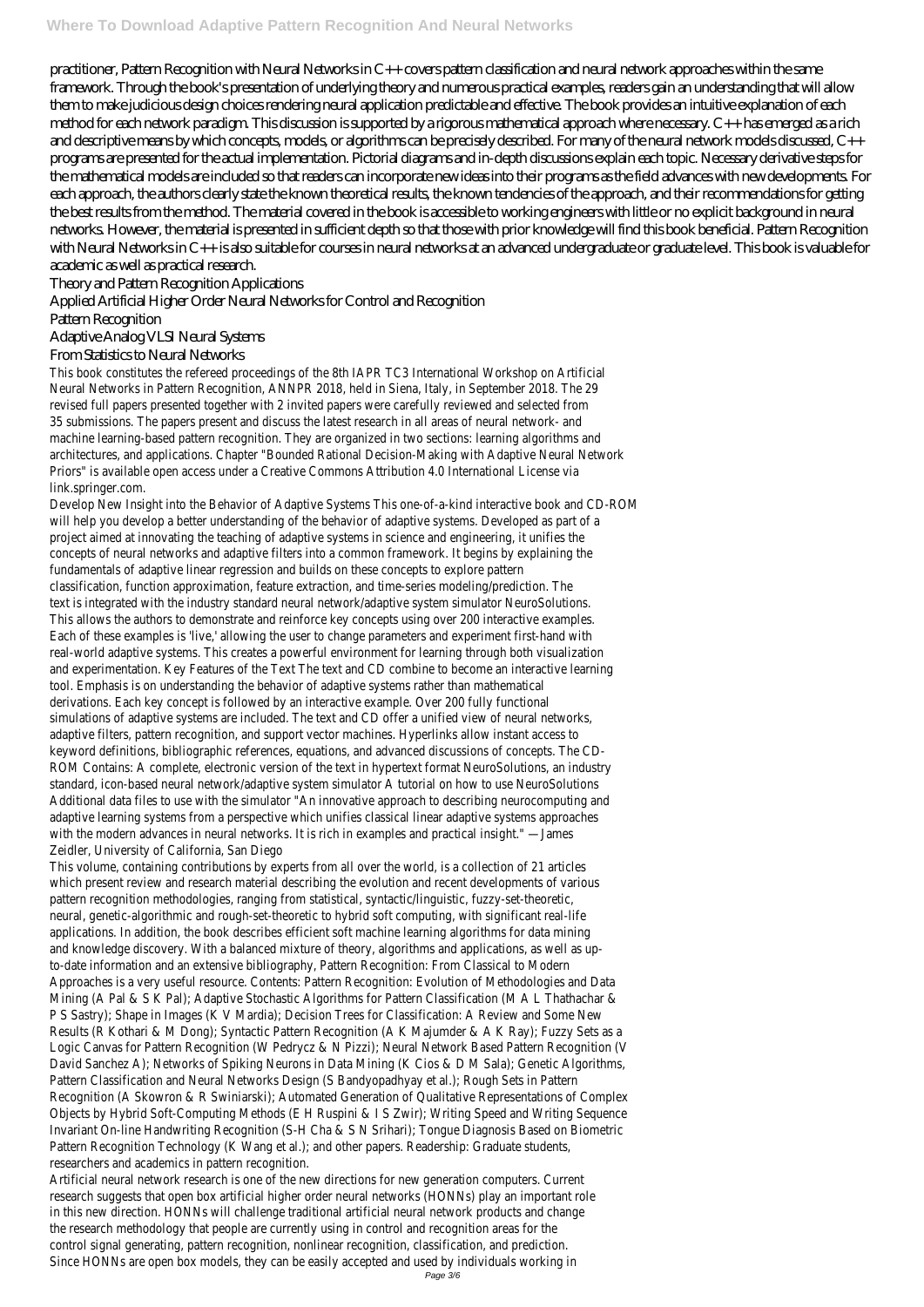practitioner, Pattern Recognition with Neural Networks in C++ covers pattern classification and neural network approaches within the same framework. Through the book's presentation of underlying theory and numerous practical examples, readers gain an understanding that will allow them to make judicious design choices rendering neural application predictable and effective. The book provides an intuitive explanation of each method for each network paradigm. This discussion is supported by a rigorous mathematical approach where necessary. C++ has emerged as a rich and descriptive means by which concepts, models, or algorithms can be precisely described. For many of the neural network models discussed, C++ programs are presented for the actual implementation. Pictorial diagrams and in-depth discussions explain each topic. Necessary derivative steps for the mathematical models are included so that readers can incorporate new ideas into their programs as the field advances with new developments. For each approach, the authors clearly state the known theoretical results, the known tendencies of the approach, and their recommendations for getting the best results from the method. The material covered in the book is accessible to working engineers with little or no explicit background in neural networks. However, the material is presented in sufficient depth so that those with prior knowledge will find this book beneficial. Pattern Recognition with Neural Networks in C++ is also suitable for courses in neural networks at an advanced undergraduate or graduate level. This book is valuable for academic as well as practical research.

Theory and Pattern Recognition Applications

Applied Artificial Higher Order Neural Networks for Control and Recognition

Pattern Recognition

Adaptive Analog VLSI Neural Systems

From Statistics to Neural Networks

This book constitutes the refereed proceedings of the 8th IAPR TC3 International Workshop on Artificial Neural Networks in Pattern Recognition, ANNPR 2018, held in Siena, Italy, in September 2018. The 29 revised full papers presented together with 2 invited papers were carefully reviewed and selected from 35 submissions. The papers present and discuss the latest research in all areas of neural network- and machine learning-based pattern recognition. They are organized in two sections: learning algorithms and architectures, and applications. Chapter "Bounded Rational Decision-Making with Adaptive Neural Network Priors" is available open access under a Creative Commons Attribution 4.0 International License via link.springer.com.

Develop New Insight into the Behavior of Adaptive Systems This one-of-a-kind interactive book and CD-ROM will help you develop a better understanding of the behavior of adaptive systems. Developed as part of a project aimed at innovating the teaching of adaptive systems in science and engineering, it unifies the concepts of neural networks and adaptive filters into a common framework. It begins by explaining the fundamentals of adaptive linear regression and builds on these concepts to explore pattern classification, function approximation, feature extraction, and time-series modeling/prediction. The text is integrated with the industry standard neural network/adaptive system simulator NeuroSolutions. This allows the authors to demonstrate and reinforce key concepts using over 200 interactive examples. Each of these examples is 'live,' allowing the user to change parameters and experiment first-hand with real-world adaptive systems. This creates a powerful environment for learning through both visualization and experimentation. Key Features of the Text The text and CD combine to become an interactive learning tool. Emphasis is on understanding the behavior of adaptive systems rather than mathematical derivations. Each key concept is followed by an interactive example. Over 200 fully functional simulations of adaptive systems are included. The text and CD offer a unified view of neural networks, adaptive filters, pattern recognition, and support vector machines. Hyperlinks allow instant access to keyword definitions, bibliographic references, equations, and advanced discussions of concepts. The CD-ROM Contains: A complete, electronic version of the text in hypertext format NeuroSolutions, an industry standard, icon-based neural network/adaptive system simulator A tutorial on how to use NeuroSolutions Additional data files to use with the simulator "An innovative approach to describing neurocomputing and adaptive learning systems from a perspective which unifies classical linear adaptive systems approaches with the modern advances in neural networks. It is rich in examples and practical insight." —James Zeidler, University of California, San Diego

This volume, containing contributions by experts from all over the world, is a collection of 21 articles which present review and research material describing the evolution and recent developments of various pattern recognition methodologies, ranging from statistical, syntactic/linguistic, fuzzy-set-theoretic, neural, genetic-algorithmic and rough-set-theoretic to hybrid soft computing, with significant real-life applications. In addition, the book describes efficient soft machine learning algorithms for data mining and knowledge discovery. With a balanced mixture of theory, algorithms and applications, as well as upto-date information and an extensive bibliography, Pattern Recognition: From Classical to Modern Approaches is a very useful resource. Contents: Pattern Recognition: Evolution of Methodologies and Data Mining (A Pal & S K Pal); Adaptive Stochastic Algorithms for Pattern Classification (M A L Thathachar & P S Sastry); Shape in Images (K V Mardia); Decision Trees for Classification: A Review and Some New Results (R Kothari & M Dong); Syntactic Pattern Recognition (A K Majumder & A K Ray); Fuzzy Sets as a Logic Canvas for Pattern Recognition (W Pedrycz & N Pizzi); Neural Network Based Pattern Recognition (V David Sanchez A); Networks of Spiking Neurons in Data Mining (K Cios & D M Sala); Genetic Algorithms, Pattern Classification and Neural Networks Design (S Bandyopadhyay et al.); Rough Sets in Pattern Recognition (A Skowron & R Swiniarski); Automated Generation of Qualitative Representations of Complex Objects by Hybrid Soft-Computing Methods (E H Ruspini & I S Zwir); Writing Speed and Writing Sequence Invariant On-line Handwriting Recognition (S-H Cha & S N Srihari); Tongue Diagnosis Based on Biometric Pattern Recognition Technology (K Wang et al.); and other papers. Readership: Graduate students, researchers and academics in pattern recognition. Artificial neural network research is one of the new directions for new generation computers. Current research suggests that open box artificial higher order neural networks (HONNs) play an important role in this new direction. HONNs will challenge traditional artificial neural network products and change the research methodology that people are currently using in control and recognition areas for the control signal generating, pattern recognition, nonlinear recognition, classification, and prediction. Since HONNs are open box models, they can be easily accepted and used by individuals working in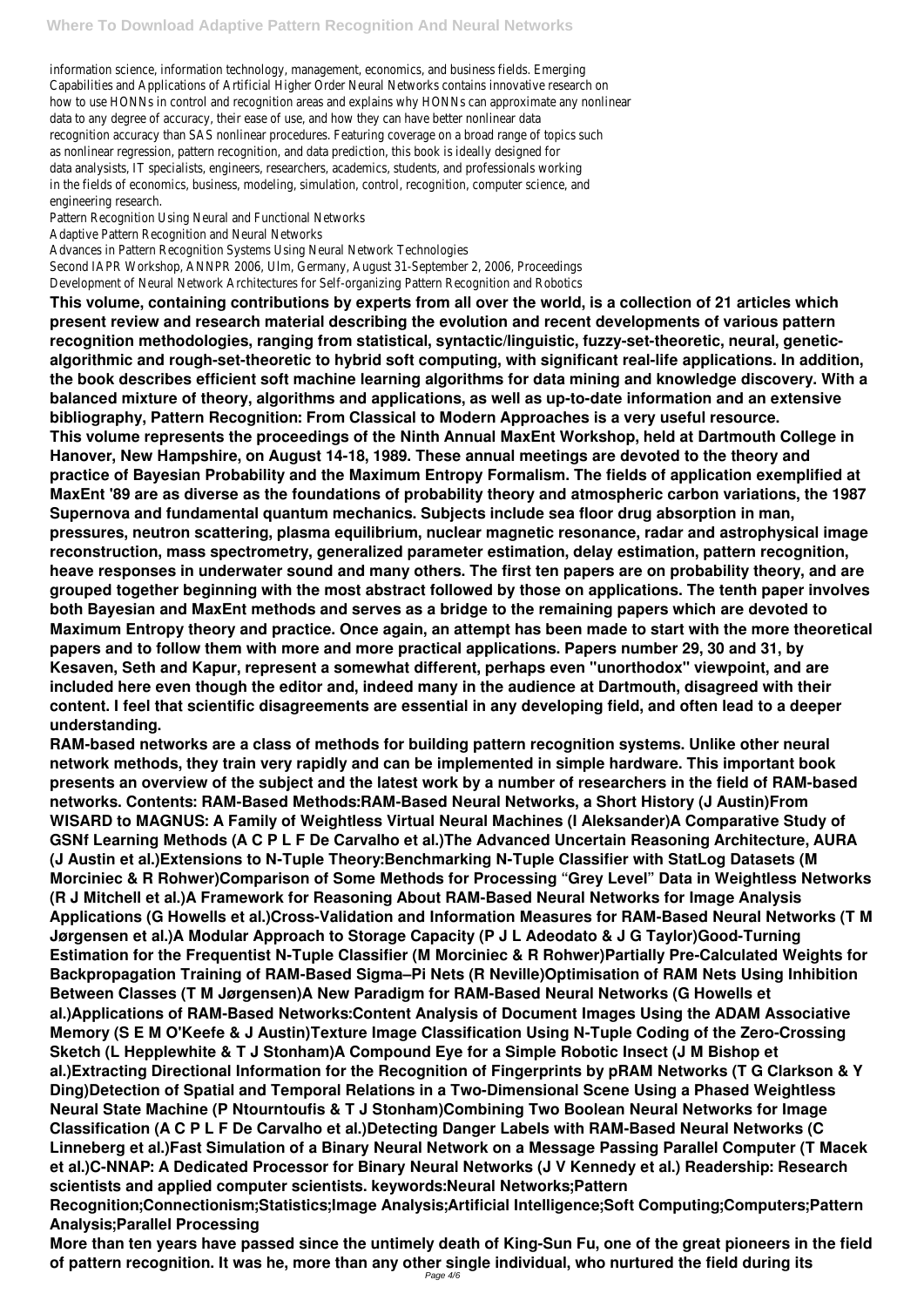information science, information technology, management, economics, and business fields. Emerging Capabilities and Applications of Artificial Higher Order Neural Networks contains innovative research on how to use HONNs in control and recognition areas and explains why HONNs can approximate any nonlinear data to any degree of accuracy, their ease of use, and how they can have better nonlinear data recognition accuracy than SAS nonlinear procedures. Featuring coverage on a broad range of topics such as nonlinear regression, pattern recognition, and data prediction, this book is ideally designed for data analysists, IT specialists, engineers, researchers, academics, students, and professionals working in the fields of economics, business, modeling, simulation, control, recognition, computer science, and engineering research.

Pattern Recognition Using Neural and Functional Networks

Adaptive Pattern Recognition and Neural Networks

Advances in Pattern Recognition Systems Using Neural Network Technologies

Second IAPR Workshop, ANNPR 2006, Ulm, Germany, August 31-September 2, 2006, Proceedings Development of Neural Network Architectures for Self-organizing Pattern Recognition and Robotics

**This volume, containing contributions by experts from all over the world, is a collection of 21 articles which present review and research material describing the evolution and recent developments of various pattern recognition methodologies, ranging from statistical, syntactic/linguistic, fuzzy-set-theoretic, neural, geneticalgorithmic and rough-set-theoretic to hybrid soft computing, with significant real-life applications. In addition, the book describes efficient soft machine learning algorithms for data mining and knowledge discovery. With a balanced mixture of theory, algorithms and applications, as well as up-to-date information and an extensive bibliography, Pattern Recognition: From Classical to Modern Approaches is a very useful resource. This volume represents the proceedings of the Ninth Annual MaxEnt Workshop, held at Dartmouth College in Hanover, New Hampshire, on August 14-18, 1989. These annual meetings are devoted to the theory and practice of Bayesian Probability and the Maximum Entropy Formalism. The fields of application exemplified at MaxEnt '89 are as diverse as the foundations of probability theory and atmospheric carbon variations, the 1987 Supernova and fundamental quantum mechanics. Subjects include sea floor drug absorption in man, pressures, neutron scattering, plasma equilibrium, nuclear magnetic resonance, radar and astrophysical image reconstruction, mass spectrometry, generalized parameter estimation, delay estimation, pattern recognition, heave responses in underwater sound and many others. The first ten papers are on probability theory, and are grouped together beginning with the most abstract followed by those on applications. The tenth paper involves both Bayesian and MaxEnt methods and serves as a bridge to the remaining papers which are devoted to Maximum Entropy theory and practice. Once again, an attempt has been made to start with the more theoretical papers and to follow them with more and more practical applications. Papers number 29, 30 and 31, by Kesaven, Seth and Kapur, represent a somewhat different, perhaps even "unorthodox" viewpoint, and are included here even though the editor and, indeed many in the audience at Dartmouth, disagreed with their content. I feel that scientific disagreements are essential in any developing field, and often lead to a deeper understanding.**

**RAM-based networks are a class of methods for building pattern recognition systems. Unlike other neural network methods, they train very rapidly and can be implemented in simple hardware. This important book presents an overview of the subject and the latest work by a number of researchers in the field of RAM-based networks. Contents: RAM-Based Methods:RAM-Based Neural Networks, a Short History (J Austin)From WISARD to MAGNUS: A Family of Weightless Virtual Neural Machines (I Aleksander)A Comparative Study of GSNf Learning Methods (A C P L F De Carvalho et al.)The Advanced Uncertain Reasoning Architecture, AURA (J Austin et al.)Extensions to N-Tuple Theory:Benchmarking N-Tuple Classifier with StatLog Datasets (M Morciniec & R Rohwer)Comparison of Some Methods for Processing "Grey Level" Data in Weightless Networks (R J Mitchell et al.)A Framework for Reasoning About RAM-Based Neural Networks for Image Analysis Applications (G Howells et al.)Cross-Validation and Information Measures for RAM-Based Neural Networks (T M Jørgensen et al.)A Modular Approach to Storage Capacity (P J L Adeodato & J G Taylor)Good-Turning Estimation for the Frequentist N-Tuple Classifier (M Morciniec & R Rohwer)Partially Pre-Calculated Weights for Backpropagation Training of RAM-Based Sigma–Pi Nets (R Neville)Optimisation of RAM Nets Using Inhibition Between Classes (T M Jørgensen)A New Paradigm for RAM-Based Neural Networks (G Howells et al.)Applications of RAM-Based Networks:Content Analysis of Document Images Using the ADAM Associative Memory (S E M O'Keefe & J Austin)Texture Image Classification Using N-Tuple Coding of the Zero-Crossing Sketch (L Hepplewhite & T J Stonham)A Compound Eye for a Simple Robotic Insect (J M Bishop et al.)Extracting Directional Information for the Recognition of Fingerprints by pRAM Networks (T G Clarkson & Y Ding)Detection of Spatial and Temporal Relations in a Two-Dimensional Scene Using a Phased Weightless Neural State Machine (P Ntourntoufis & T J Stonham)Combining Two Boolean Neural Networks for Image Classification (A C P L F De Carvalho et al.)Detecting Danger Labels with RAM-Based Neural Networks (C Linneberg et al.)Fast Simulation of a Binary Neural Network on a Message Passing Parallel Computer (T Macek et al.)C-NNAP: A Dedicated Processor for Binary Neural Networks (J V Kennedy et al.) Readership: Research scientists and applied computer scientists. keywords:Neural Networks;Pattern Recognition;Connectionism;Statistics;Image Analysis;Artificial Intelligence;Soft Computing;Computers;Pattern Analysis;Parallel Processing More than ten years have passed since the untimely death of King-Sun Fu, one of the great pioneers in the field of pattern recognition. It was he, more than any other single individual, who nurtured the field during its**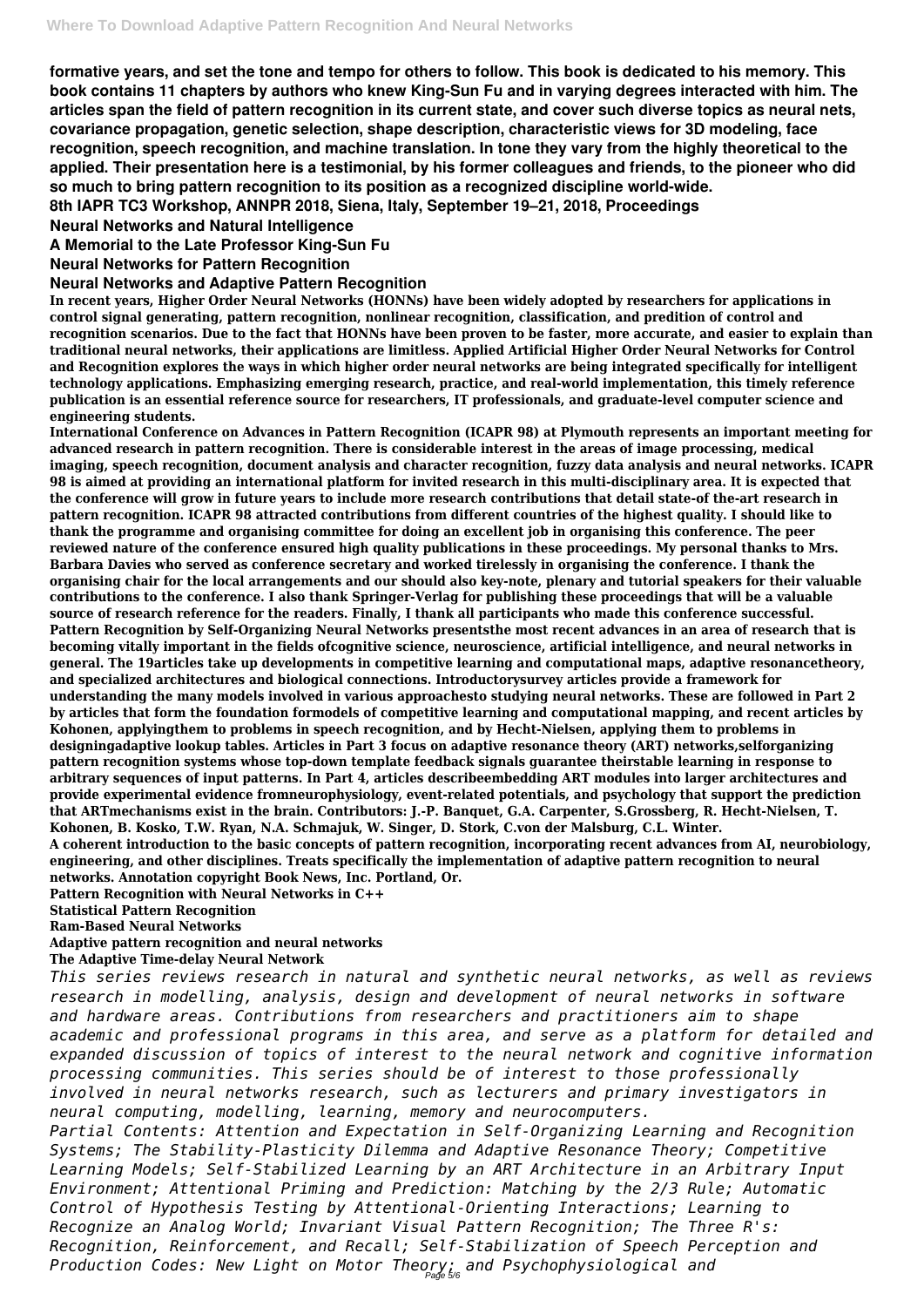**formative years, and set the tone and tempo for others to follow. This book is dedicated to his memory. This book contains 11 chapters by authors who knew King-Sun Fu and in varying degrees interacted with him. The articles span the field of pattern recognition in its current state, and cover such diverse topics as neural nets, covariance propagation, genetic selection, shape description, characteristic views for 3D modeling, face recognition, speech recognition, and machine translation. In tone they vary from the highly theoretical to the applied. Their presentation here is a testimonial, by his former colleagues and friends, to the pioneer who did so much to bring pattern recognition to its position as a recognized discipline world-wide.**

**8th IAPR TC3 Workshop, ANNPR 2018, Siena, Italy, September 19–21, 2018, Proceedings**

**Neural Networks and Natural Intelligence**

**A Memorial to the Late Professor King-Sun Fu**

**Neural Networks for Pattern Recognition**

#### **Neural Networks and Adaptive Pattern Recognition**

**In recent years, Higher Order Neural Networks (HONNs) have been widely adopted by researchers for applications in control signal generating, pattern recognition, nonlinear recognition, classification, and predition of control and recognition scenarios. Due to the fact that HONNs have been proven to be faster, more accurate, and easier to explain than traditional neural networks, their applications are limitless. Applied Artificial Higher Order Neural Networks for Control and Recognition explores the ways in which higher order neural networks are being integrated specifically for intelligent technology applications. Emphasizing emerging research, practice, and real-world implementation, this timely reference publication is an essential reference source for researchers, IT professionals, and graduate-level computer science and engineering students.**

*research in modelling, analysis, design and development of neural networks in software and hardware areas. Contributions from researchers and practitioners aim to shape academic and professional programs in this area, and serve as a platform for detailed and expanded discussion of topics of interest to the neural network and cognitive information processing communities. This series should be of interest to those professionally involved in neural networks research, such as lecturers and primary investigators in neural computing, modelling, learning, memory and neurocomputers. Partial Contents: Attention and Expectation in Self-Organizing Learning and Recognition Systems; The Stability-Plasticity Dilemma and Adaptive Resonance Theory; Competitive Learning Models; Self-Stabilized Learning by an ART Architecture in an Arbitrary Input Environment; Attentional Priming and Prediction: Matching by the 2/3 Rule; Automatic Control of Hypothesis Testing by Attentional-Orienting Interactions; Learning to Recognize an Analog World; Invariant Visual Pattern Recognition; The Three R's: Recognition, Reinforcement, and Recall; Self-Stabilization of Speech Perception and* Production Codes: New Light on Motor Theo<sub>Page 5/6</sub> and Psychophysiological and

**International Conference on Advances in Pattern Recognition (ICAPR 98) at Plymouth represents an important meeting for advanced research in pattern recognition. There is considerable interest in the areas of image processing, medical imaging, speech recognition, document analysis and character recognition, fuzzy data analysis and neural networks. ICAPR 98 is aimed at providing an international platform for invited research in this multi-disciplinary area. It is expected that the conference will grow in future years to include more research contributions that detail state-of the-art research in pattern recognition. ICAPR 98 attracted contributions from different countries of the highest quality. I should like to thank the programme and organising committee for doing an excellent job in organising this conference. The peer reviewed nature of the conference ensured high quality publications in these proceedings. My personal thanks to Mrs. Barbara Davies who served as conference secretary and worked tirelessly in organising the conference. I thank the organising chair for the local arrangements and our should also key-note, plenary and tutorial speakers for their valuable contributions to the conference. I also thank Springer-Verlag for publishing these proceedings that will be a valuable source of research reference for the readers. Finally, I thank all participants who made this conference successful. Pattern Recognition by Self-Organizing Neural Networks presentsthe most recent advances in an area of research that is becoming vitally important in the fields ofcognitive science, neuroscience, artificial intelligence, and neural networks in general. The 19articles take up developments in competitive learning and computational maps, adaptive resonancetheory, and specialized architectures and biological connections. Introductorysurvey articles provide a framework for understanding the many models involved in various approachesto studying neural networks. These are followed in Part 2 by articles that form the foundation formodels of competitive learning and computational mapping, and recent articles by Kohonen, applyingthem to problems in speech recognition, and by Hecht-Nielsen, applying them to problems in designingadaptive lookup tables. Articles in Part 3 focus on adaptive resonance theory (ART) networks,selforganizing pattern recognition systems whose top-down template feedback signals guarantee theirstable learning in response to arbitrary sequences of input patterns. In Part 4, articles describeembedding ART modules into larger architectures and provide experimental evidence fromneurophysiology, event-related potentials, and psychology that support the prediction that ARTmechanisms exist in the brain. Contributors: J.-P. Banquet, G.A. Carpenter, S.Grossberg, R. Hecht-Nielsen, T. Kohonen, B. Kosko, T.W. Ryan, N.A. Schmajuk, W. Singer, D. Stork, C.von der Malsburg, C.L. Winter. A coherent introduction to the basic concepts of pattern recognition, incorporating recent advances from AI, neurobiology, engineering, and other disciplines. Treats specifically the implementation of adaptive pattern recognition to neural**

**networks. Annotation copyright Book News, Inc. Portland, Or.**

**Pattern Recognition with Neural Networks in C++**

**Statistical Pattern Recognition**

**Ram-Based Neural Networks**

**Adaptive pattern recognition and neural networks**

**The Adaptive Time-delay Neural Network**

*This series reviews research in natural and synthetic neural networks, as well as reviews*